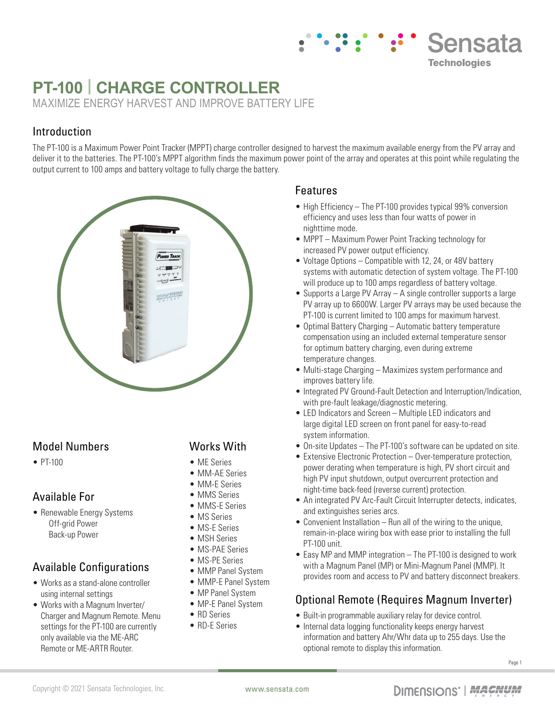# **PT-100 | CHARGE CONTROLLER**

MAXIMIZE ENERGY HARVEST AND IMPROVE BATTERY LIFE

# Introduction

The PT-100 is a Maximum Power Point Tracker (MPPT) charge controller designed to harvest the maximum available energy from the PV array and deliver it to the batteries. The PT-100's MPPT algorithm finds the maximum power point of the array and operates at this point while regulating the output current to 100 amps and battery voltage to fully charge the battery.



### Model Numbers

• PT-100

## Available For

• Renewable Energy Systems Off-grid Power Back-up Power

## Available Configurations

- Works as a stand-alone controller using internal settings
- Works with a Magnum Inverter/ Charger and Magnum Remote. Menu settings for the PT-100 are currently only available via the ME-ARC Remote or ME-ARTR Router.

### Works With

- MF Series
- MM-AE Series
- MM-E Series
- MMS Series
- MMS-E Series
- MS Series
- MS-E Series
- MSH Series
- MS-PAE Series
- MS-PE Series
- MMP Panel System
- MMP-E Panel System
- MP Panel System
- MP-E Panel System
- RD Series
- RD-E Series

#### Features

• High Efficiency – The PT-100 provides typical 99% conversion efficiency and uses less than four watts of power in nighttime mode.

**Sensata** 

**Technologies** 

- MPPT Maximum Power Point Tracking technology for increased PV power output efficiency.
- Voltage Options Compatible with 12, 24, or 48V battery systems with automatic detection of system voltage. The PT-100 will produce up to 100 amps regardless of battery voltage.
- Supports a Large PV Array A single controller supports a large PV array up to 6600W. Larger PV arrays may be used because the PT-100 is current limited to 100 amps for maximum harvest.
- Optimal Battery Charging Automatic battery temperature compensation using an included external temperature sensor for optimum battery charging, even during extreme temperature changes.
- Multi-stage Charging Maximizes system performance and improves battery life.
- Integrated PV Ground-Fault Detection and Interruption/Indication, with pre-fault leakage/diagnostic metering.
- LED Indicators and Screen Multiple LED indicators and large digital LED screen on front panel for easy-to-read system information.
- On-site Updates The PT-100's software can be updated on site.
- Extensive Electronic Protection Over-temperature protection, power derating when temperature is high, PV short circuit and high PV input shutdown, output overcurrent protection and night-time back-feed (reverse current) protection.
- An integrated PV Arc-Fault Circuit Interrupter detects, indicates, and extinguishes series arcs.
- Convenient Installation Run all of the wiring to the unique, remain-in-place wiring box with ease prior to installing the full PT-100 unit.
- Easy MP and MMP integration The PT-100 is designed to work with a Magnum Panel (MP) or Mini-Magnum Panel (MMP). It provides room and access to PV and battery disconnect breakers.

## Optional Remote (Requires Magnum Inverter)

- Built-in programmable auxiliary relay for device control.
- Internal data logging functionality keeps energy harvest information and battery Ahr/Whr data up to 255 days. Use the optional remote to display this information.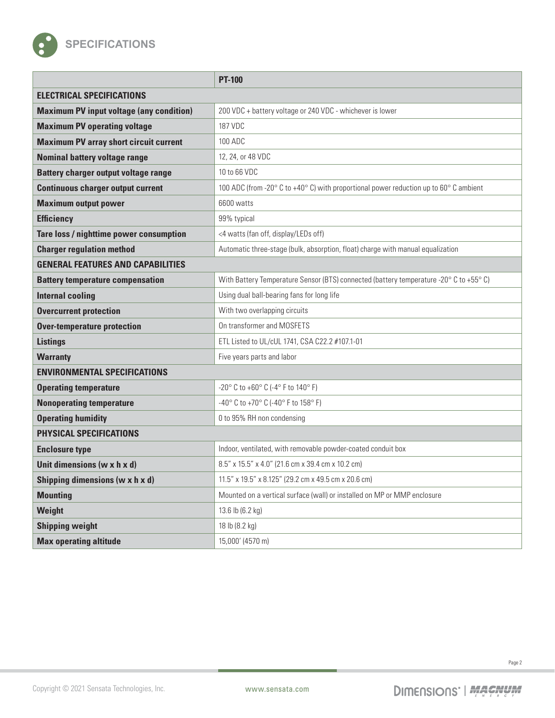

|                                                 | <b>PT-100</b>                                                                          |
|-------------------------------------------------|----------------------------------------------------------------------------------------|
| <b>ELECTRICAL SPECIFICATIONS</b>                |                                                                                        |
| <b>Maximum PV input voltage (any condition)</b> | 200 VDC + battery voltage or 240 VDC - whichever is lower                              |
| <b>Maximum PV operating voltage</b>             | 187 VDC                                                                                |
| <b>Maximum PV array short circuit current</b>   | 100 ADC                                                                                |
| <b>Nominal battery voltage range</b>            | 12, 24, or 48 VDC                                                                      |
| <b>Battery charger output voltage range</b>     | 10 to 66 VDC                                                                           |
| <b>Continuous charger output current</b>        | 100 ADC (from -20° C to +40° C) with proportional power reduction up to 60° C ambient  |
| <b>Maximum output power</b>                     | 6600 watts                                                                             |
| <b>Efficiency</b>                               | 99% typical                                                                            |
| Tare loss / nighttime power consumption         | <4 watts (fan off, display/LEDs off)                                                   |
| <b>Charger regulation method</b>                | Automatic three-stage (bulk, absorption, float) charge with manual equalization        |
| <b>GENERAL FEATURES AND CAPABILITIES</b>        |                                                                                        |
| <b>Battery temperature compensation</b>         | With Battery Temperature Sensor (BTS) connected (battery temperature -20° C to +55° C) |
| <b>Internal cooling</b>                         | Using dual ball-bearing fans for long life                                             |
| <b>Overcurrent protection</b>                   | With two overlapping circuits                                                          |
| <b>Over-temperature protection</b>              | On transformer and MOSFETS                                                             |
| <b>Listings</b>                                 | ETL Listed to UL/cUL 1741, CSA C22.2 #107.1-01                                         |
| <b>Warranty</b>                                 | Five years parts and labor                                                             |
| <b>ENVIRONMENTAL SPECIFICATIONS</b>             |                                                                                        |
| <b>Operating temperature</b>                    | -20° C to +60° C (-4° F to 140° F)                                                     |
| <b>Nonoperating temperature</b>                 | -40° C to +70° C (-40° F to 158° F)                                                    |
| <b>Operating humidity</b>                       | 0 to 95% RH non condensing                                                             |
| <b>PHYSICAL SPECIFICATIONS</b>                  |                                                                                        |
| <b>Enclosure type</b>                           | Indoor, ventilated, with removable powder-coated conduit box                           |
| Unit dimensions ( $w \times h \times d$ )       | 8.5" x 15.5" x 4.0" (21.6 cm x 39.4 cm x 10.2 cm)                                      |
| Shipping dimensions ( $w \times h \times d$ )   | $11.5''$ x $19.5''$ x $8.125''$ (29.2 cm x 49.5 cm x 20.6 cm)                          |
| <b>Mounting</b>                                 | Mounted on a vertical surface (wall) or installed on MP or MMP enclosure               |
| Weight                                          | 13.6 lb (6.2 kg)                                                                       |
| <b>Shipping weight</b>                          | 18 lb (8.2 kg)                                                                         |
| <b>Max operating altitude</b>                   | 15,000' (4570 m)                                                                       |